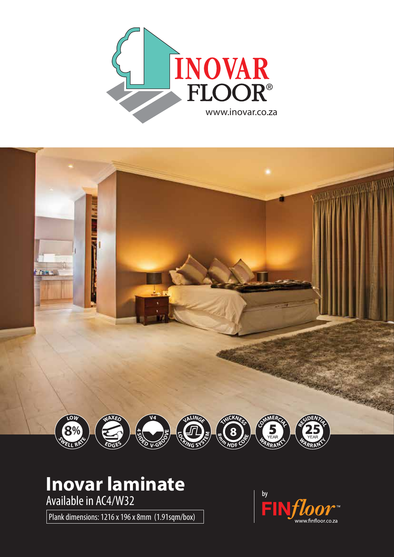



## **Inovar laminate**

Available in AC4/W32

Plank dimensions: 1216 x 196 x 8mm (1.91sqm/box)